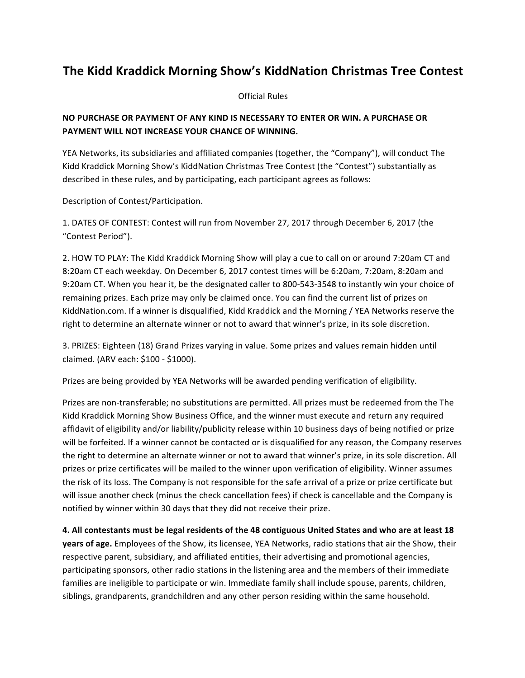## **The Kidd Kraddick Morning Show's KiddNation Christmas Tree Contest**

**Official Rules** 

## **NO PURCHASE OR PAYMENT OF ANY KIND IS NECESSARY TO ENTER OR WIN. A PURCHASE OR PAYMENT WILL NOT INCREASE YOUR CHANCE OF WINNING.**

YEA Networks, its subsidiaries and affiliated companies (together, the "Company"), will conduct The Kidd Kraddick Morning Show's KiddNation Christmas Tree Contest (the "Contest") substantially as described in these rules, and by participating, each participant agrees as follows:

Description of Contest/Participation.

1. DATES OF CONTEST: Contest will run from November 27, 2017 through December 6, 2017 (the "Contest Period").

2. HOW TO PLAY: The Kidd Kraddick Morning Show will play a cue to call on or around 7:20am CT and 8:20am CT each weekday. On December 6, 2017 contest times will be 6:20am, 7:20am, 8:20am and 9:20am CT. When you hear it, be the designated caller to 800-543-3548 to instantly win your choice of remaining prizes. Each prize may only be claimed once. You can find the current list of prizes on KiddNation.com. If a winner is disqualified, Kidd Kraddick and the Morning / YEA Networks reserve the right to determine an alternate winner or not to award that winner's prize, in its sole discretion.

3. PRIZES: Eighteen (18) Grand Prizes varying in value. Some prizes and values remain hidden until claimed. (ARV each: \$100 - \$1000).

Prizes are being provided by YEA Networks will be awarded pending verification of eligibility.

Prizes are non-transferable; no substitutions are permitted. All prizes must be redeemed from the The Kidd Kraddick Morning Show Business Office, and the winner must execute and return any required affidavit of eligibility and/or liability/publicity release within 10 business days of being notified or prize will be forfeited. If a winner cannot be contacted or is disqualified for any reason, the Company reserves the right to determine an alternate winner or not to award that winner's prize, in its sole discretion. All prizes or prize certificates will be mailed to the winner upon verification of eligibility. Winner assumes the risk of its loss. The Company is not responsible for the safe arrival of a prize or prize certificate but will issue another check (minus the check cancellation fees) if check is cancellable and the Company is notified by winner within 30 days that they did not receive their prize.

4. All contestants must be legal residents of the 48 contiguous United States and who are at least 18 **years of age.** Employees of the Show, its licensee, YEA Networks, radio stations that air the Show, their respective parent, subsidiary, and affiliated entities, their advertising and promotional agencies, participating sponsors, other radio stations in the listening area and the members of their immediate families are ineligible to participate or win. Immediate family shall include spouse, parents, children, siblings, grandparents, grandchildren and any other person residing within the same household.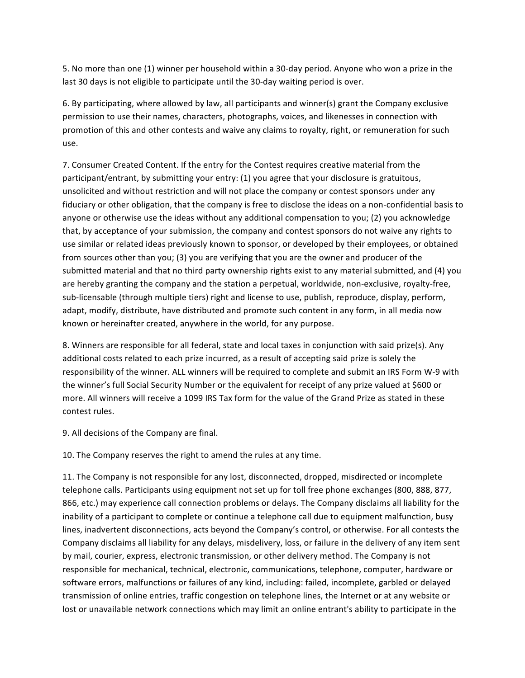5. No more than one (1) winner per household within a 30-day period. Anyone who won a prize in the last 30 days is not eligible to participate until the 30-day waiting period is over.

6. By participating, where allowed by law, all participants and winner(s) grant the Company exclusive permission to use their names, characters, photographs, voices, and likenesses in connection with promotion of this and other contests and waive any claims to royalty, right, or remuneration for such use.

7. Consumer Created Content. If the entry for the Contest requires creative material from the participant/entrant, by submitting your entry: (1) you agree that your disclosure is gratuitous, unsolicited and without restriction and will not place the company or contest sponsors under any fiduciary or other obligation, that the company is free to disclose the ideas on a non-confidential basis to anyone or otherwise use the ideas without any additional compensation to you; (2) you acknowledge that, by acceptance of your submission, the company and contest sponsors do not waive any rights to use similar or related ideas previously known to sponsor, or developed by their employees, or obtained from sources other than you; (3) you are verifying that you are the owner and producer of the submitted material and that no third party ownership rights exist to any material submitted, and (4) you are hereby granting the company and the station a perpetual, worldwide, non-exclusive, royalty-free, sub-licensable (through multiple tiers) right and license to use, publish, reproduce, display, perform, adapt, modify, distribute, have distributed and promote such content in any form, in all media now known or hereinafter created, anywhere in the world, for any purpose.

8. Winners are responsible for all federal, state and local taxes in conjunction with said prize(s). Any additional costs related to each prize incurred, as a result of accepting said prize is solely the responsibility of the winner. ALL winners will be required to complete and submit an IRS Form W-9 with the winner's full Social Security Number or the equivalent for receipt of any prize valued at \$600 or more. All winners will receive a 1099 IRS Tax form for the value of the Grand Prize as stated in these contest rules.

9. All decisions of the Company are final.

10. The Company reserves the right to amend the rules at any time.

11. The Company is not responsible for any lost, disconnected, dropped, misdirected or incomplete telephone calls. Participants using equipment not set up for toll free phone exchanges (800, 888, 877, 866, etc.) may experience call connection problems or delays. The Company disclaims all liability for the inability of a participant to complete or continue a telephone call due to equipment malfunction, busy lines, inadvertent disconnections, acts beyond the Company's control, or otherwise. For all contests the Company disclaims all liability for any delays, misdelivery, loss, or failure in the delivery of any item sent by mail, courier, express, electronic transmission, or other delivery method. The Company is not responsible for mechanical, technical, electronic, communications, telephone, computer, hardware or software errors, malfunctions or failures of any kind, including: failed, incomplete, garbled or delayed transmission of online entries, traffic congestion on telephone lines, the Internet or at any website or lost or unavailable network connections which may limit an online entrant's ability to participate in the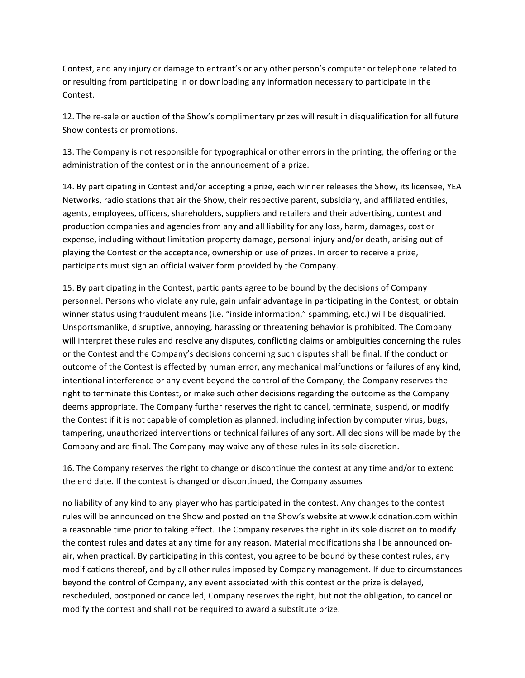Contest, and any injury or damage to entrant's or any other person's computer or telephone related to or resulting from participating in or downloading any information necessary to participate in the Contest.

12. The re-sale or auction of the Show's complimentary prizes will result in disqualification for all future Show contests or promotions.

13. The Company is not responsible for typographical or other errors in the printing, the offering or the administration of the contest or in the announcement of a prize.

14. By participating in Contest and/or accepting a prize, each winner releases the Show, its licensee, YEA Networks, radio stations that air the Show, their respective parent, subsidiary, and affiliated entities, agents, employees, officers, shareholders, suppliers and retailers and their advertising, contest and production companies and agencies from any and all liability for any loss, harm, damages, cost or expense, including without limitation property damage, personal injury and/or death, arising out of playing the Contest or the acceptance, ownership or use of prizes. In order to receive a prize, participants must sign an official waiver form provided by the Company.

15. By participating in the Contest, participants agree to be bound by the decisions of Company personnel. Persons who violate any rule, gain unfair advantage in participating in the Contest, or obtain winner status using fraudulent means (i.e. "inside information," spamming, etc.) will be disqualified. Unsportsmanlike, disruptive, annoying, harassing or threatening behavior is prohibited. The Company will interpret these rules and resolve any disputes, conflicting claims or ambiguities concerning the rules or the Contest and the Company's decisions concerning such disputes shall be final. If the conduct or outcome of the Contest is affected by human error, any mechanical malfunctions or failures of any kind, intentional interference or any event beyond the control of the Company, the Company reserves the right to terminate this Contest, or make such other decisions regarding the outcome as the Company deems appropriate. The Company further reserves the right to cancel, terminate, suspend, or modify the Contest if it is not capable of completion as planned, including infection by computer virus, bugs, tampering, unauthorized interventions or technical failures of any sort. All decisions will be made by the Company and are final. The Company may waive any of these rules in its sole discretion.

16. The Company reserves the right to change or discontinue the contest at any time and/or to extend the end date. If the contest is changed or discontinued, the Company assumes

no liability of any kind to any player who has participated in the contest. Any changes to the contest rules will be announced on the Show and posted on the Show's website at www.kiddnation.com within a reasonable time prior to taking effect. The Company reserves the right in its sole discretion to modify the contest rules and dates at any time for any reason. Material modifications shall be announced onair, when practical. By participating in this contest, you agree to be bound by these contest rules, any modifications thereof, and by all other rules imposed by Company management. If due to circumstances beyond the control of Company, any event associated with this contest or the prize is delayed, rescheduled, postponed or cancelled, Company reserves the right, but not the obligation, to cancel or modify the contest and shall not be required to award a substitute prize.